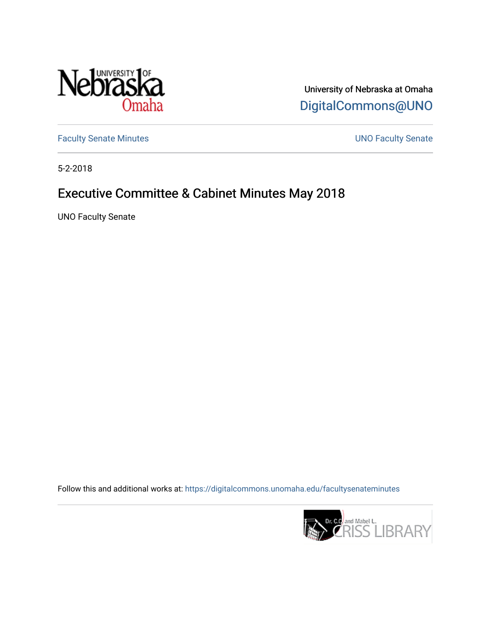

University of Nebraska at Omaha [DigitalCommons@UNO](https://digitalcommons.unomaha.edu/) 

[Faculty Senate Minutes](https://digitalcommons.unomaha.edu/facultysenateminutes) **Exercise Senate UNO Faculty Senate** 

5-2-2018

# Executive Committee & Cabinet Minutes May 2018

UNO Faculty Senate

Follow this and additional works at: [https://digitalcommons.unomaha.edu/facultysenateminutes](https://digitalcommons.unomaha.edu/facultysenateminutes?utm_source=digitalcommons.unomaha.edu%2Ffacultysenateminutes%2F106&utm_medium=PDF&utm_campaign=PDFCoverPages) 

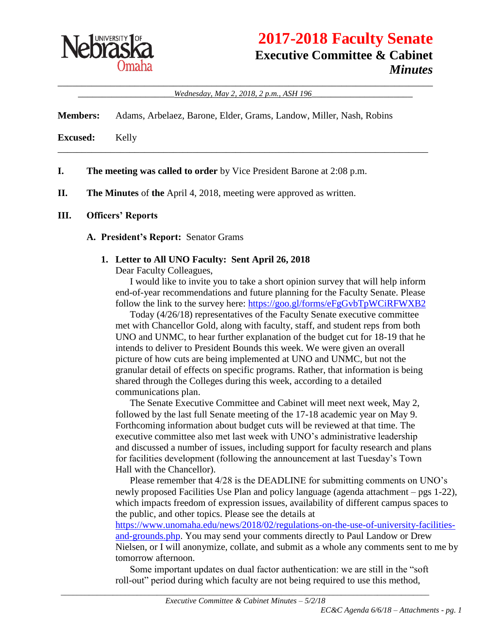

# **2017-2018 Faculty Senate Executive Committee & Cabinet** *Minutes*

\_\_\_\_\_\_\_\_\_\_\_\_\_\_\_\_\_\_\_\_\_\_\_\_\_\_\_\_\_\_\_\_\_\_\_\_\_\_\_\_\_\_\_\_\_\_\_\_\_\_\_\_\_\_\_\_\_\_\_\_\_\_\_\_\_\_\_\_\_\_\_\_\_\_\_\_\_\_ \_\_\_\_\_\_\_\_\_\_\_\_\_\_\_\_\_\_\_\_*Wednesday, May 2, 2018, 2 p.m., ASH 196*\_\_\_\_\_\_\_\_\_\_\_\_\_\_\_\_\_\_\_\_\_

\_\_\_\_\_\_\_\_\_\_\_\_\_\_\_\_\_\_\_\_\_\_\_\_\_\_\_\_\_\_\_\_\_\_\_\_\_\_\_\_\_\_\_\_\_\_\_\_\_\_\_\_\_\_\_\_\_\_\_\_\_\_\_\_\_\_\_\_\_\_\_\_\_\_\_\_\_

**Members:** Adams, Arbelaez, Barone, Elder, Grams, Landow, Miller, Nash, Robins

**Excused:** Kelly

**I. The meeting was called to order** by Vice President Barone at 2:08 p.m.

**II. The Minutes** of **the** April 4, 2018, meeting were approved as written.

#### **III. Officers' Reports**

#### **A. President's Report:** Senator Grams

#### **1. Letter to All UNO Faculty: Sent April 26, 2018**

Dear Faculty Colleagues,

I would like to invite you to take a short opinion survey that will help inform end-of-year recommendations and future planning for the Faculty Senate. Please follow the link to the survey here:<https://goo.gl/forms/eFgGvbTpWCiRFWXB2>

Today (4/26/18) representatives of the Faculty Senate executive committee met with Chancellor Gold, along with faculty, staff, and student reps from both UNO and UNMC, to hear further explanation of the budget cut for 18-19 that he intends to deliver to President Bounds this week. We were given an overall picture of how cuts are being implemented at UNO and UNMC, but not the granular detail of effects on specific programs. Rather, that information is being shared through the Colleges during this week, according to a detailed communications plan.

The Senate Executive Committee and Cabinet will meet next week, May 2, followed by the last full Senate meeting of the 17-18 academic year on May 9. Forthcoming information about budget cuts will be reviewed at that time. The executive committee also met last week with UNO's administrative leadership and discussed a number of issues, including support for faculty research and plans for facilities development (following the announcement at last Tuesday's Town Hall with the Chancellor).

Please remember that 4/28 is the DEADLINE for submitting comments on UNO's newly proposed Facilities Use Plan and policy language (agenda attachment – pgs 1-22), which impacts freedom of expression issues, availability of different campus spaces to the public, and other topics. Please see the details at

[https://www.unomaha.edu/news/2018/02/regulations-on-the-use-of-university-facilities](https://www.unomaha.edu/news/2018/02/regulations-on-the-use-of-university-facilities-and-grounds.php)[and-grounds.php.](https://www.unomaha.edu/news/2018/02/regulations-on-the-use-of-university-facilities-and-grounds.php) You may send your comments directly to Paul Landow or Drew Nielsen, or I will anonymize, collate, and submit as a whole any comments sent to me by tomorrow afternoon.

Some important updates on dual factor authentication: we are still in the "soft roll-out" period during which faculty are not being required to use this method,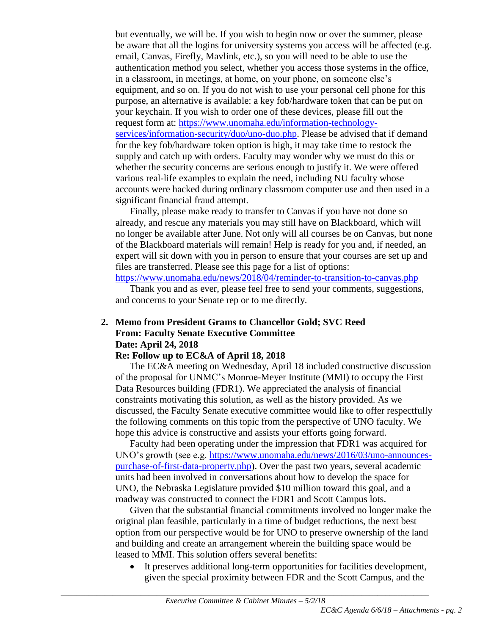but eventually, we will be. If you wish to begin now or over the summer, please be aware that all the logins for university systems you access will be affected (e.g. email, Canvas, Firefly, Mavlink, etc.), so you will need to be able to use the authentication method you select, whether you access those systems in the office, in a classroom, in meetings, at home, on your phone, on someone else's equipment, and so on. If you do not wish to use your personal cell phone for this purpose, an alternative is available: a key fob/hardware token that can be put on your keychain. If you wish to order one of these devices, please fill out the request form at: [https://www.unomaha.edu/information-technology](https://www.unomaha.edu/information-technology-services/information-security/duo/uno-duo.php)[services/information-security/duo/uno-duo.php.](https://www.unomaha.edu/information-technology-services/information-security/duo/uno-duo.php) Please be advised that if demand for the key fob/hardware token option is high, it may take time to restock the supply and catch up with orders. Faculty may wonder why we must do this or whether the security concerns are serious enough to justify it. We were offered various real-life examples to explain the need, including NU faculty whose accounts were hacked during ordinary classroom computer use and then used in a significant financial fraud attempt.

Finally, please make ready to transfer to Canvas if you have not done so already, and rescue any materials you may still have on Blackboard, which will no longer be available after June. Not only will all courses be on Canvas, but none of the Blackboard materials will remain! Help is ready for you and, if needed, an expert will sit down with you in person to ensure that your courses are set up and files are transferred. Please see this page for a list of options:

<https://www.unomaha.edu/news/2018/04/reminder-to-transition-to-canvas.php>

Thank you and as ever, please feel free to send your comments, suggestions, and concerns to your Senate rep or to me directly.

# **2. Memo from President Grams to Chancellor Gold; SVC Reed From: Faculty Senate Executive Committee Date: April 24, 2018**

## **Re: Follow up to EC&A of April 18, 2018**

The EC&A meeting on Wednesday, April 18 included constructive discussion of the proposal for UNMC's Monroe-Meyer Institute (MMI) to occupy the First Data Resources building (FDR1). We appreciated the analysis of financial constraints motivating this solution, as well as the history provided. As we discussed, the Faculty Senate executive committee would like to offer respectfully the following comments on this topic from the perspective of UNO faculty. We hope this advice is constructive and assists your efforts going forward.

Faculty had been operating under the impression that FDR1 was acquired for UNO's growth (see e.g. [https://www.unomaha.edu/news/2016/03/uno-announces](https://www.unomaha.edu/news/2016/03/uno-announces-purchase-of-first-data-property.php)[purchase-of-first-data-property.php\)](https://www.unomaha.edu/news/2016/03/uno-announces-purchase-of-first-data-property.php). Over the past two years, several academic units had been involved in conversations about how to develop the space for UNO, the Nebraska Legislature provided \$10 million toward this goal, and a roadway was constructed to connect the FDR1 and Scott Campus lots.

Given that the substantial financial commitments involved no longer make the original plan feasible, particularly in a time of budget reductions, the next best option from our perspective would be for UNO to preserve ownership of the land and building and create an arrangement wherein the building space would be leased to MMI. This solution offers several benefits:

 It preserves additional long-term opportunities for facilities development, given the special proximity between FDR and the Scott Campus, and the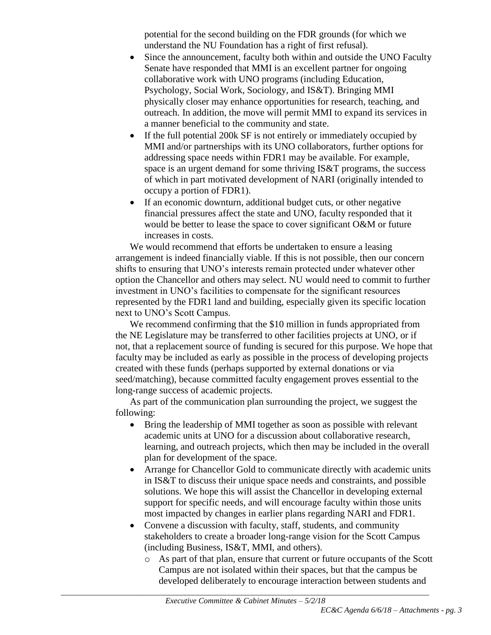potential for the second building on the FDR grounds (for which we understand the NU Foundation has a right of first refusal).

- Since the announcement, faculty both within and outside the UNO Faculty Senate have responded that MMI is an excellent partner for ongoing collaborative work with UNO programs (including Education, Psychology, Social Work, Sociology, and IS&T). Bringing MMI physically closer may enhance opportunities for research, teaching, and outreach. In addition, the move will permit MMI to expand its services in a manner beneficial to the community and state.
- If the full potential 200k SF is not entirely or immediately occupied by MMI and/or partnerships with its UNO collaborators, further options for addressing space needs within FDR1 may be available. For example, space is an urgent demand for some thriving IS&T programs, the success of which in part motivated development of NARI (originally intended to occupy a portion of FDR1).
- If an economic downturn, additional budget cuts, or other negative financial pressures affect the state and UNO, faculty responded that it would be better to lease the space to cover significant O&M or future increases in costs.

We would recommend that efforts be undertaken to ensure a leasing arrangement is indeed financially viable. If this is not possible, then our concern shifts to ensuring that UNO's interests remain protected under whatever other option the Chancellor and others may select. NU would need to commit to further investment in UNO's facilities to compensate for the significant resources represented by the FDR1 land and building, especially given its specific location next to UNO's Scott Campus.

We recommend confirming that the \$10 million in funds appropriated from the NE Legislature may be transferred to other facilities projects at UNO, or if not, that a replacement source of funding is secured for this purpose. We hope that faculty may be included as early as possible in the process of developing projects created with these funds (perhaps supported by external donations or via seed/matching), because committed faculty engagement proves essential to the long-range success of academic projects.

As part of the communication plan surrounding the project, we suggest the following:

- Bring the leadership of MMI together as soon as possible with relevant academic units at UNO for a discussion about collaborative research, learning, and outreach projects, which then may be included in the overall plan for development of the space.
- Arrange for Chancellor Gold to communicate directly with academic units in IS&T to discuss their unique space needs and constraints, and possible solutions. We hope this will assist the Chancellor in developing external support for specific needs, and will encourage faculty within those units most impacted by changes in earlier plans regarding NARI and FDR1.
- Convene a discussion with faculty, staff, students, and community stakeholders to create a broader long-range vision for the Scott Campus (including Business, IS&T, MMI, and others).
	- o As part of that plan, ensure that current or future occupants of the Scott Campus are not isolated within their spaces, but that the campus be developed deliberately to encourage interaction between students and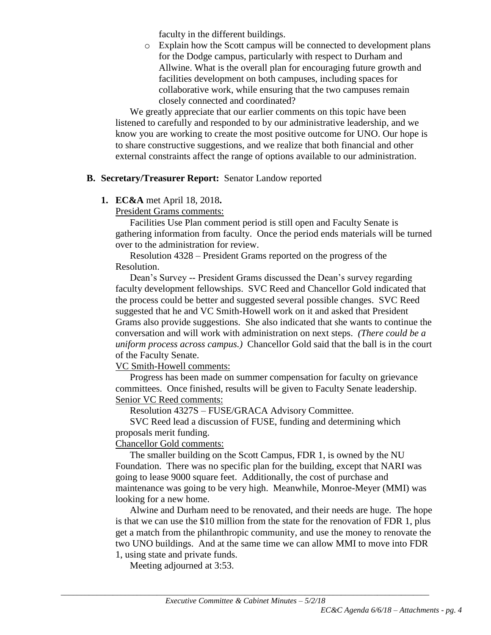faculty in the different buildings.

o Explain how the Scott campus will be connected to development plans for the Dodge campus, particularly with respect to Durham and Allwine. What is the overall plan for encouraging future growth and facilities development on both campuses, including spaces for collaborative work, while ensuring that the two campuses remain closely connected and coordinated?

We greatly appreciate that our earlier comments on this topic have been listened to carefully and responded to by our administrative leadership, and we know you are working to create the most positive outcome for UNO. Our hope is to share constructive suggestions, and we realize that both financial and other external constraints affect the range of options available to our administration.

## **B. Secretary/Treasurer Report:** Senator Landow reported

# **1. EC&A** met April 18, 2018**.**

President Grams comments:

Facilities Use Plan comment period is still open and Faculty Senate is gathering information from faculty. Once the period ends materials will be turned over to the administration for review.

Resolution 4328 – President Grams reported on the progress of the Resolution.

Dean's Survey -- President Grams discussed the Dean's survey regarding faculty development fellowships. SVC Reed and Chancellor Gold indicated that the process could be better and suggested several possible changes. SVC Reed suggested that he and VC Smith-Howell work on it and asked that President Grams also provide suggestions. She also indicated that she wants to continue the conversation and will work with administration on next steps. *(There could be a uniform process across campus.)* Chancellor Gold said that the ball is in the court of the Faculty Senate.

VC Smith-Howell comments:

Progress has been made on summer compensation for faculty on grievance committees. Once finished, results will be given to Faculty Senate leadership. Senior VC Reed comments:

Resolution 4327S – FUSE/GRACA Advisory Committee.

SVC Reed lead a discussion of FUSE, funding and determining which proposals merit funding.

Chancellor Gold comments:

The smaller building on the Scott Campus, FDR 1, is owned by the NU Foundation. There was no specific plan for the building, except that NARI was going to lease 9000 square feet. Additionally, the cost of purchase and maintenance was going to be very high. Meanwhile, Monroe-Meyer (MMI) was looking for a new home.

Alwine and Durham need to be renovated, and their needs are huge. The hope is that we can use the \$10 million from the state for the renovation of FDR 1, plus get a match from the philanthropic community, and use the money to renovate the two UNO buildings. And at the same time we can allow MMI to move into FDR 1, using state and private funds.

Meeting adjourned at 3:53.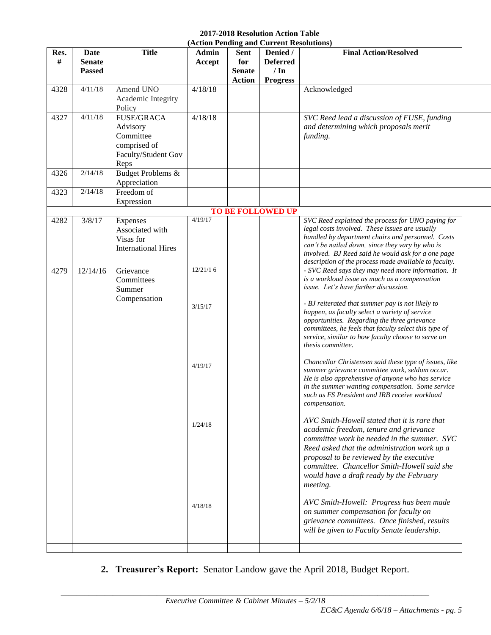#### **2017-2018 Resolution Action Table (Action Pending and Current Resolution**

|              |                                        |                                                                                           | (Action Pending and Current Resolutions)             |                                                      |                                                           |                                                                                                                                                                                                                                                                                                                                                                                                                                                                                                                                                                                                                                                                                                                                                                                                                                                                                                                                                                                                                                                                                                                                                                                                                                                               |
|--------------|----------------------------------------|-------------------------------------------------------------------------------------------|------------------------------------------------------|------------------------------------------------------|-----------------------------------------------------------|---------------------------------------------------------------------------------------------------------------------------------------------------------------------------------------------------------------------------------------------------------------------------------------------------------------------------------------------------------------------------------------------------------------------------------------------------------------------------------------------------------------------------------------------------------------------------------------------------------------------------------------------------------------------------------------------------------------------------------------------------------------------------------------------------------------------------------------------------------------------------------------------------------------------------------------------------------------------------------------------------------------------------------------------------------------------------------------------------------------------------------------------------------------------------------------------------------------------------------------------------------------|
| Res.<br>$\#$ | Date<br><b>Senate</b><br><b>Passed</b> | <b>Title</b>                                                                              | <b>Admin</b><br>Accept                               | <b>Sent</b><br>for<br><b>Senate</b><br><b>Action</b> | Denied /<br><b>Deferred</b><br>$/ \ln$<br><b>Progress</b> | <b>Final Action/Resolved</b>                                                                                                                                                                                                                                                                                                                                                                                                                                                                                                                                                                                                                                                                                                                                                                                                                                                                                                                                                                                                                                                                                                                                                                                                                                  |
| 4328         | 4/11/18                                | Amend UNO<br>Academic Integrity<br>Policy                                                 | 4/18/18                                              |                                                      |                                                           | Acknowledged                                                                                                                                                                                                                                                                                                                                                                                                                                                                                                                                                                                                                                                                                                                                                                                                                                                                                                                                                                                                                                                                                                                                                                                                                                                  |
| 4327         | 4/11/18                                | <b>FUSE/GRACA</b><br>Advisory<br>Committee<br>comprised of<br>Faculty/Student Gov<br>Reps | 4/18/18                                              |                                                      |                                                           | SVC Reed lead a discussion of FUSE, funding<br>and determining which proposals merit<br>funding.                                                                                                                                                                                                                                                                                                                                                                                                                                                                                                                                                                                                                                                                                                                                                                                                                                                                                                                                                                                                                                                                                                                                                              |
| 4326         | 2/14/18                                | Budget Problems &<br>Appreciation                                                         |                                                      |                                                      |                                                           |                                                                                                                                                                                                                                                                                                                                                                                                                                                                                                                                                                                                                                                                                                                                                                                                                                                                                                                                                                                                                                                                                                                                                                                                                                                               |
| 4323         | 2/14/18                                | Freedom of<br>Expression                                                                  |                                                      |                                                      |                                                           |                                                                                                                                                                                                                                                                                                                                                                                                                                                                                                                                                                                                                                                                                                                                                                                                                                                                                                                                                                                                                                                                                                                                                                                                                                                               |
|              |                                        |                                                                                           |                                                      |                                                      | <b>TO BE FOLLOWED UP</b>                                  |                                                                                                                                                                                                                                                                                                                                                                                                                                                                                                                                                                                                                                                                                                                                                                                                                                                                                                                                                                                                                                                                                                                                                                                                                                                               |
| 4282         | 3/8/17                                 | Expenses<br>Associated with<br>Visas for<br><b>International Hires</b>                    | 4/19/17                                              |                                                      |                                                           | SVC Reed explained the process for UNO paying for<br>legal costs involved. These issues are usually<br>handled by department chairs and personnel. Costs<br>can't be nailed down, since they vary by who is<br>involved. BJ Reed said he would ask for a one page<br>description of the process made available to faculty.                                                                                                                                                                                                                                                                                                                                                                                                                                                                                                                                                                                                                                                                                                                                                                                                                                                                                                                                    |
| 4279         | 12/14/16                               | Grievance<br>Committees<br>Summer<br>Compensation                                         | 12/21/16<br>3/15/17<br>4/19/17<br>1/24/18<br>4/18/18 |                                                      |                                                           | - SVC Reed says they may need more information. It<br>is a workload issue as much as a compensation<br>issue. Let's have further discussion.<br>- BJ reiterated that summer pay is not likely to<br>happen, as faculty select a variety of service<br>opportunities. Regarding the three grievance<br>committees, he feels that faculty select this type of<br>service, similar to how faculty choose to serve on<br>thesis committee.<br>Chancellor Christensen said these type of issues, like<br>summer grievance committee work, seldom occur.<br>He is also apprehensive of anyone who has service<br>in the summer wanting compensation. Some service<br>such as FS President and IRB receive workload<br>compensation.<br>AVC Smith-Howell stated that it is rare that<br>academic freedom, tenure and grievance<br>committee work be needed in the summer. SVC<br>Reed asked that the administration work up a<br>proposal to be reviewed by the executive<br>committee. Chancellor Smith-Howell said she<br>would have a draft ready by the February<br>meeting.<br>AVC Smith-Howell: Progress has been made<br>on summer compensation for faculty on<br>grievance committees. Once finished, results<br>will be given to Faculty Senate leadership. |

**2. Treasurer's Report:** Senator Landow gave the April 2018, Budget Report.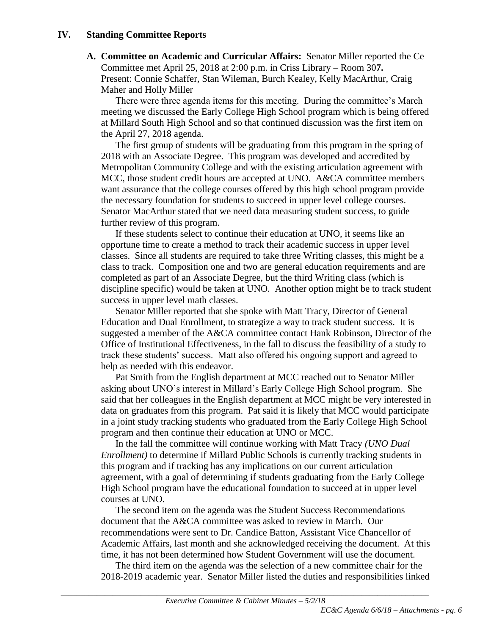#### **IV. Standing Committee Reports**

**A. Committee on Academic and Curricular Affairs:** Senator Miller reported the Ce Committee met April 25, 2018 at 2:00 p.m. in Criss Library – Room 30**7.**  Present: Connie Schaffer, Stan Wileman, Burch Kealey, Kelly MacArthur, Craig Maher and Holly Miller

There were three agenda items for this meeting. During the committee's March meeting we discussed the Early College High School program which is being offered at Millard South High School and so that continued discussion was the first item on the April 27, 2018 agenda.

The first group of students will be graduating from this program in the spring of 2018 with an Associate Degree. This program was developed and accredited by Metropolitan Community College and with the existing articulation agreement with MCC, those student credit hours are accepted at UNO. A&CA committee members want assurance that the college courses offered by this high school program provide the necessary foundation for students to succeed in upper level college courses. Senator MacArthur stated that we need data measuring student success, to guide further review of this program.

If these students select to continue their education at UNO, it seems like an opportune time to create a method to track their academic success in upper level classes. Since all students are required to take three Writing classes, this might be a class to track. Composition one and two are general education requirements and are completed as part of an Associate Degree, but the third Writing class (which is discipline specific) would be taken at UNO. Another option might be to track student success in upper level math classes.

Senator Miller reported that she spoke with Matt Tracy, Director of General Education and Dual Enrollment, to strategize a way to track student success. It is suggested a member of the A&CA committee contact Hank Robinson, Director of the Office of Institutional Effectiveness, in the fall to discuss the feasibility of a study to track these students' success. Matt also offered his ongoing support and agreed to help as needed with this endeavor.

Pat Smith from the English department at MCC reached out to Senator Miller asking about UNO's interest in Millard's Early College High School program. She said that her colleagues in the English department at MCC might be very interested in data on graduates from this program. Pat said it is likely that MCC would participate in a joint study tracking students who graduated from the Early College High School program and then continue their education at UNO or MCC.

In the fall the committee will continue working with Matt Tracy *(UNO Dual Enrollment)* to determine if Millard Public Schools is currently tracking students in this program and if tracking has any implications on our current articulation agreement, with a goal of determining if students graduating from the Early College High School program have the educational foundation to succeed at in upper level courses at UNO.

The second item on the agenda was the Student Success Recommendations document that the A&CA committee was asked to review in March. Our recommendations were sent to Dr. Candice Batton, Assistant Vice Chancellor of Academic Affairs, last month and she acknowledged receiving the document. At this time, it has not been determined how Student Government will use the document.

The third item on the agenda was the selection of a new committee chair for the 2018-2019 academic year. Senator Miller listed the duties and responsibilities linked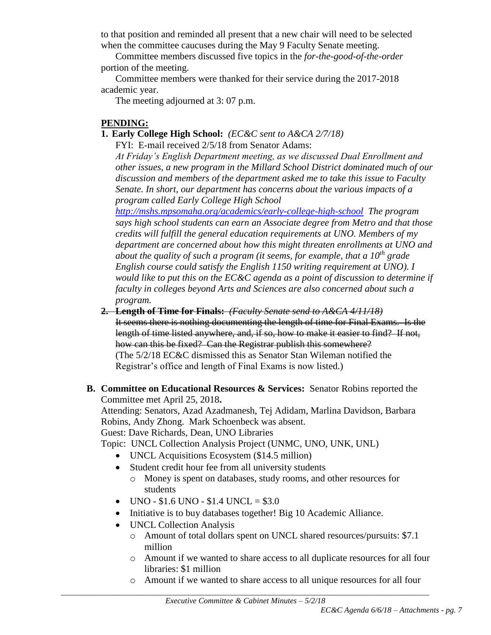to that position and reminded all present that a new chair will need to be selected when the committee caucuses during the May 9 Faculty Senate meeting.

Committee members discussed five topics in the *for-the-good-of-the-order* portion of the meeting.

Committee members were thanked for their service during the 2017-2018 academic year.

The meeting adjourned at 3: 07 p.m.

# **PENDING:**

# **1. Early College High School:** *(EC&C sent to A&CA 2/7/18)*

FYI: E-mail received 2/5/18 from Senator Adams:

*At Friday's English Department meeting, as we discussed Dual Enrollment and other issues, a new program in the Millard School District dominated much of our discussion and members of the department asked me to take this issue to Faculty Senate. In short, our department has concerns about the various impacts of a program called Early College High School* 

*<http://mshs.mpsomaha.org/academics/early-college-high-school> The program says high school students can earn an Associate degree from Metro and that those credits will fulfill the general education requirements at UNO. Members of my department are concerned about how this might threaten enrollments at UNO and about the quality of such a program (it seems, for example, that a 10th grade English course could satisfy the English 1150 writing requirement at UNO). I would like to put this on the EC&C agenda as a point of discussion to determine if faculty in colleges beyond Arts and Sciences are also concerned about such a program.*

# **2. Length of Time for Finals:** *(Faculty Senate send to A&CA 4/11/18)*

It seems there is nothing documenting the length of time for Final Exams. Is the length of time listed anywhere, and, if so, how to make it easier to find? If not, how can this be fixed? Can the Registrar publish this somewhere? (The 5/2/18 EC&C dismissed this as Senator Stan Wileman notified the Registrar's office and length of Final Exams is now listed.)

# **B. Committee on Educational Resources & Services:** Senator Robins reported the Committee met April 25, 2018**.**

Attending: Senators, Azad Azadmanesh, Tej Adidam, Marlina Davidson, Barbara Robins, Andy Zhong. Mark Schoenbeck was absent. Guest: Dave Richards, Dean, UNO Libraries

Topic: UNCL Collection Analysis Project (UNMC, UNO, UNK, UNL)

- UNCL Acquisitions Ecosystem (\$14.5 million)
- Student credit hour fee from all university students
	- o Money is spent on databases, study rooms, and other resources for students
- $\bullet$  UNO \$1.6 UNO \$1.4 UNCL = \$3.0
- Initiative is to buy databases together! Big 10 Academic Alliance.
- UNCL Collection Analysis
	- o Amount of total dollars spent on UNCL shared resources/pursuits: \$7.1 million
	- o Amount if we wanted to share access to all duplicate resources for all four libraries: \$1 million
	- o Amount if we wanted to share access to all unique resources for all four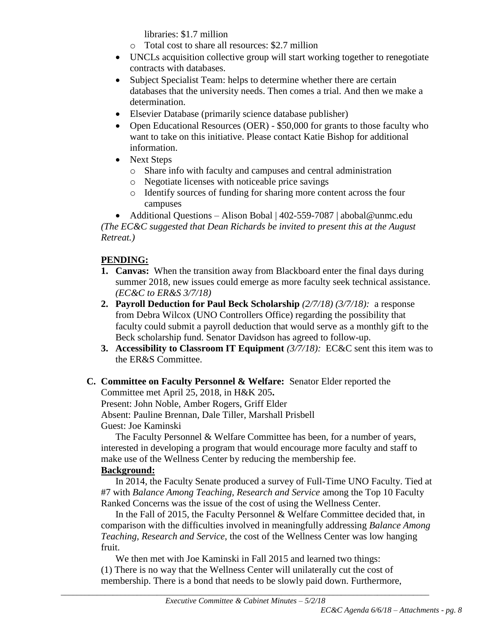libraries: \$1.7 million

- o Total cost to share all resources: \$2.7 million
- UNCLs acquisition collective group will start working together to renegotiate contracts with databases.
- Subject Specialist Team: helps to determine whether there are certain databases that the university needs. Then comes a trial. And then we make a determination.
- Elsevier Database (primarily science database publisher)
- Open Educational Resources (OER) \$50,000 for grants to those faculty who want to take on this initiative. Please contact Katie Bishop for additional information.
- Next Steps
	- o Share info with faculty and campuses and central administration
	- o Negotiate licenses with noticeable price savings
	- o Identify sources of funding for sharing more content across the four campuses

 Additional Questions – Alison Bobal | 402-559-7087 | abobal@unmc.edu *(The EC&C suggested that Dean Richards be invited to present this at the August Retreat.)*

# **PENDING:**

- **1. Canvas:** When the transition away from Blackboard enter the final days during summer 2018, new issues could emerge as more faculty seek technical assistance. *(EC&C to ER&S 3/7/18)*
- **2. Payroll Deduction for Paul Beck Scholarship** *(2/7/18) (3/7/18):* a response from Debra Wilcox (UNO Controllers Office) regarding the possibility that faculty could submit a payroll deduction that would serve as a monthly gift to the Beck scholarship fund. Senator Davidson has agreed to follow-up.
- **3. Accessibility to Classroom IT Equipment** *(3/7/18):* EC&C sent this item was to the ER&S Committee.

# **C. Committee on Faculty Personnel & Welfare:** Senator Elder reported the Committee met April 25, 2018, in H&K 205**.**

Present: John Noble, Amber Rogers, Griff Elder Absent: Pauline Brennan, Dale Tiller, Marshall Prisbell Guest: Joe Kaminski

The Faculty Personnel & Welfare Committee has been, for a number of years, interested in developing a program that would encourage more faculty and staff to make use of the Wellness Center by reducing the membership fee.

# **Background:**

In 2014, the Faculty Senate produced a survey of Full-Time UNO Faculty. Tied at #7 with *Balance Among Teaching, Research and Service* among the Top 10 Faculty Ranked Concerns was the issue of the cost of using the Wellness Center.

In the Fall of 2015, the Faculty Personnel & Welfare Committee decided that, in comparison with the difficulties involved in meaningfully addressing *Balance Among Teaching, Research and Service*, the cost of the Wellness Center was low hanging fruit.

We then met with Joe Kaminski in Fall 2015 and learned two things: (1) There is no way that the Wellness Center will unilaterally cut the cost of membership. There is a bond that needs to be slowly paid down. Furthermore,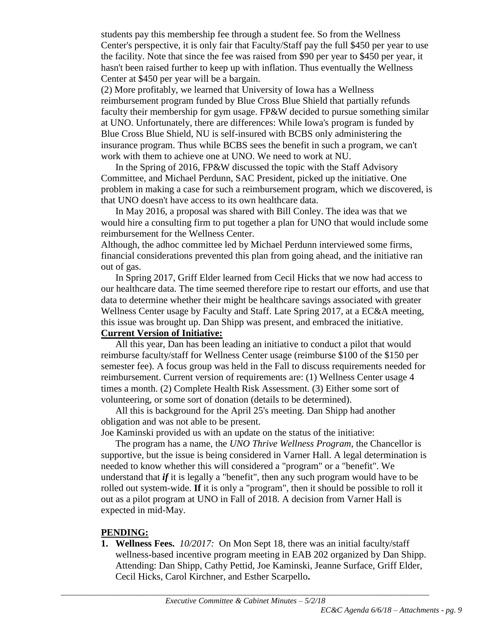students pay this membership fee through a student fee. So from the Wellness Center's perspective, it is only fair that Faculty/Staff pay the full \$450 per year to use the facility. Note that since the fee was raised from \$90 per year to \$450 per year, it hasn't been raised further to keep up with inflation. Thus eventually the Wellness Center at \$450 per year will be a bargain.

(2) More profitably, we learned that University of Iowa has a Wellness reimbursement program funded by Blue Cross Blue Shield that partially refunds faculty their membership for gym usage. FP&W decided to pursue something similar at UNO. Unfortunately, there are differences: While Iowa's program is funded by Blue Cross Blue Shield, NU is self-insured with BCBS only administering the insurance program. Thus while BCBS sees the benefit in such a program, we can't work with them to achieve one at UNO. We need to work at NU.

In the Spring of 2016, FP&W discussed the topic with the Staff Advisory Committee, and Michael Perdunn, SAC President, picked up the initiative. One problem in making a case for such a reimbursement program, which we discovered, is that UNO doesn't have access to its own healthcare data.

In May 2016, a proposal was shared with Bill Conley. The idea was that we would hire a consulting firm to put together a plan for UNO that would include some reimbursement for the Wellness Center.

Although, the adhoc committee led by Michael Perdunn interviewed some firms, financial considerations prevented this plan from going ahead, and the initiative ran out of gas.

In Spring 2017, Griff Elder learned from Cecil Hicks that we now had access to our healthcare data. The time seemed therefore ripe to restart our efforts, and use that data to determine whether their might be healthcare savings associated with greater Wellness Center usage by Faculty and Staff. Late Spring 2017, at a EC&A meeting, this issue was brought up. Dan Shipp was present, and embraced the initiative.

#### **Current Version of Initiative:**

All this year, Dan has been leading an initiative to conduct a pilot that would reimburse faculty/staff for Wellness Center usage (reimburse \$100 of the \$150 per semester fee). A focus group was held in the Fall to discuss requirements needed for reimbursement. Current version of requirements are: (1) Wellness Center usage 4 times a month. (2) Complete Health Risk Assessment. (3) Either some sort of volunteering, or some sort of donation (details to be determined).

All this is background for the April 25's meeting. Dan Shipp had another obligation and was not able to be present.

Joe Kaminski provided us with an update on the status of the initiative:

The program has a name, the *UNO Thrive Wellness Program,* the Chancellor is supportive, but the issue is being considered in Varner Hall. A legal determination is needed to know whether this will considered a "program" or a "benefit". We understand that *if* it is legally a "benefit", then any such program would have to be rolled out system-wide. **If** it is only a "program", then it should be possible to roll it out as a pilot program at UNO in Fall of 2018. A decision from Varner Hall is expected in mid-May.

# **PENDING:**

**1. Wellness Fees.** *10/2017:*On Mon Sept 18, there was an initial faculty/staff wellness-based incentive program meeting in EAB 202 organized by Dan Shipp. Attending: Dan Shipp, Cathy Pettid, Joe Kaminski, Jeanne Surface, Griff Elder, Cecil Hicks, Carol Kirchner, and Esther Scarpello**.**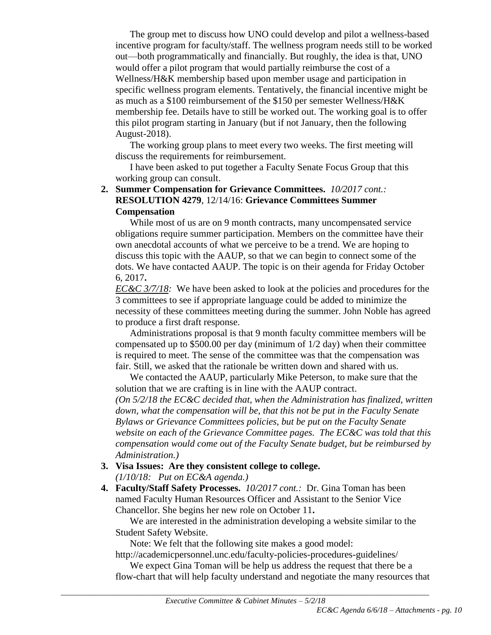The group met to discuss how UNO could develop and pilot a wellness-based incentive program for faculty/staff. The wellness program needs still to be worked out—both programmatically and financially. But roughly, the idea is that, UNO would offer a pilot program that would partially reimburse the cost of a Wellness/H&K membership based upon member usage and participation in specific wellness program elements. Tentatively, the financial incentive might be as much as a \$100 reimbursement of the \$150 per semester Wellness/H&K membership fee. Details have to still be worked out. The working goal is to offer this pilot program starting in January (but if not January, then the following August-2018).

The working group plans to meet every two weeks. The first meeting will discuss the requirements for reimbursement.

I have been asked to put together a Faculty Senate Focus Group that this working group can consult.

### **2. Summer Compensation for Grievance Committees.** *10/2017 cont.:* **RESOLUTION 4279**, 12/14/16: **Grievance Committees Summer Compensation**

While most of us are on 9 month contracts, many uncompensated service obligations require summer participation. Members on the committee have their own anecdotal accounts of what we perceive to be a trend. We are hoping to discuss this topic with the AAUP, so that we can begin to connect some of the dots. We have contacted AAUP. The topic is on their agenda for Friday October 6, 2017**.**

*EC&C 3/7/18:* We have been asked to look at the policies and procedures for the 3 committees to see if appropriate language could be added to minimize the necessity of these committees meeting during the summer. John Noble has agreed to produce a first draft response.

Administrations proposal is that 9 month faculty committee members will be compensated up to \$500.00 per day (minimum of 1/2 day) when their committee is required to meet. The sense of the committee was that the compensation was fair. Still, we asked that the rationale be written down and shared with us.

We contacted the AAUP, particularly Mike Peterson, to make sure that the solution that we are crafting is in line with the AAUP contract. *(On 5/2/18 the EC&C decided that, when the Administration has finalized, written down, what the compensation will be, that this not be put in the Faculty Senate Bylaws or Grievance Committees policies, but be put on the Faculty Senate website on each of the Grievance Committee pages. The EC&C was told that this compensation would come out of the Faculty Senate budget, but be reimbursed by Administration.)*

- **3. Visa Issues: Are they consistent college to college.** *(1/10/18: Put on EC&A agenda.)*
- **4. Faculty/Staff Safety Processes.** *10/2017 cont.:* Dr. Gina Toman has been named Faculty Human Resources Officer and Assistant to the Senior Vice Chancellor. She begins her new role on October 11**.**

We are interested in the administration developing a website similar to the Student Safety Website.

Note: We felt that the following site makes a good model:

http://academicpersonnel.unc.edu/faculty-policies-procedures-guidelines/

We expect Gina Toman will be help us address the request that there be a flow-chart that will help faculty understand and negotiate the many resources that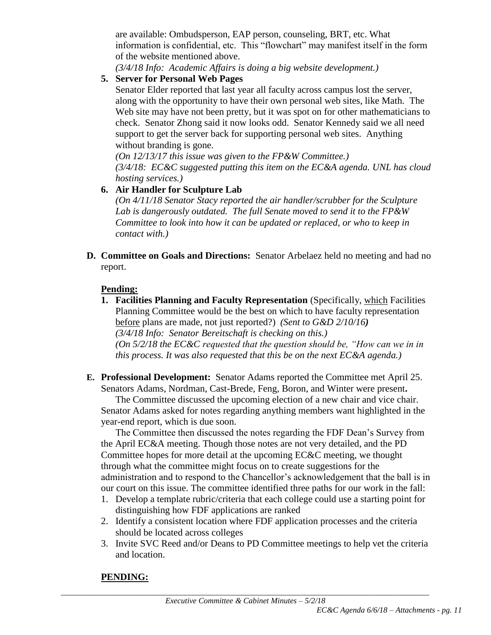are available: Ombudsperson, EAP person, counseling, BRT, etc. What information is confidential, etc. This "flowchart" may manifest itself in the form of the website mentioned above.

*(3/4/18 Info: Academic Affairs is doing a big website development.)*

# **5. Server for Personal Web Pages**

Senator Elder reported that last year all faculty across campus lost the server, along with the opportunity to have their own personal web sites, like Math. The Web site may have not been pretty, but it was spot on for other mathematicians to check. Senator Zhong said it now looks odd. Senator Kennedy said we all need support to get the server back for supporting personal web sites. Anything without branding is gone.

*(On 12/13/17 this issue was given to the FP&W Committee.) (3/4/18: EC&C suggested putting this item on the EC&A agenda. UNL has cloud hosting services.)*

# **6. Air Handler for Sculpture Lab**

*(On 4/11/18 Senator Stacy reported the air handler/scrubber for the Sculpture Lab is dangerously outdated. The full Senate moved to send it to the FP&W Committee to look into how it can be updated or replaced, or who to keep in contact with.)*

**D. Committee on Goals and Directions:** Senator Arbelaez held no meeting and had no report.

# **Pending:**

- **1. Facilities Planning and Faculty Representation** (Specifically, which Facilities Planning Committee would be the best on which to have faculty representation before plans are made, not just reported?) *(Sent to G&D 2/10/16) (3/4/18 Info: Senator Bereitschaft is checking on this.) (On 5/2/18 the EC&C requested that the question should be, "How can we in in this process. It was also requested that this be on the next EC&A agenda.)*
- **E. Professional Development:** Senator Adams reported the Committee met April 25. Senators Adams, Nordman, Cast-Brede, Feng, Boron, and Winter were present**.**

The Committee discussed the upcoming election of a new chair and vice chair. Senator Adams asked for notes regarding anything members want highlighted in the year-end report, which is due soon.

The Committee then discussed the notes regarding the FDF Dean's Survey from the April EC&A meeting. Though those notes are not very detailed, and the PD Committee hopes for more detail at the upcoming EC&C meeting, we thought through what the committee might focus on to create suggestions for the administration and to respond to the Chancellor's acknowledgement that the ball is in our court on this issue. The committee identified three paths for our work in the fall:

- 1. Develop a template rubric/criteria that each college could use a starting point for distinguishing how FDF applications are ranked
- 2. Identify a consistent location where FDF application processes and the criteria should be located across colleges
- 3. Invite SVC Reed and/or Deans to PD Committee meetings to help vet the criteria and location.

# **PENDING:**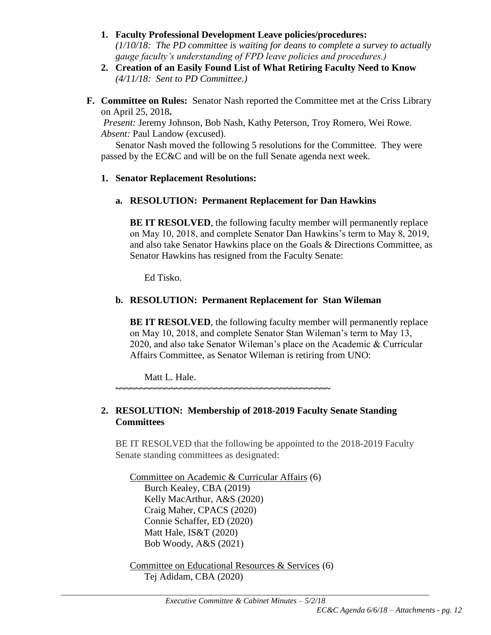- **1. Faculty Professional Development Leave policies/procedures:**  *(1/10/18: The PD committee is waiting for deans to complete a survey to actually gauge faculty's understanding of FPD leave policies and procedures.)*
- **2. Creation of an Easily Found List of What Retiring Faculty Need to Know** *(4/11/18: Sent to PD Committee.)*
- **F. Committee on Rules:** Senator Nash reported the Committee met at the Criss Library on April 25, 2018**.**

*Present:* Jeremy Johnson, Bob Nash, Kathy Peterson, Troy Romero, Wei Rowe. *Absent:* Paul Landow (excused).

Senator Nash moved the following 5 resolutions for the Committee. They were passed by the EC&C and will be on the full Senate agenda next week.

## **1. Senator Replacement Resolutions:**

## **a. RESOLUTION: Permanent Replacement for Dan Hawkins**

**BE IT RESOLVED**, the following faculty member will permanently replace on May 10, 2018, and complete Senator Dan Hawkins's term to May 8, 2019, and also take Senator Hawkins place on the Goals & Directions Committee, as Senator Hawkins has resigned from the Faculty Senate:

Ed Tisko.

# **b. RESOLUTION: Permanent Replacement for Stan Wileman**

**BE IT RESOLVED**, the following faculty member will permanently replace on May 10, 2018, and complete Senator Stan Wileman's term to May 13, 2020, and also take Senator Wileman's place on the Academic & Curricular Affairs Committee, as Senator Wileman is retiring from UNO:

Matt L. Hale.

**~~~~~~~~~~~~~~~~~~~~~~~~~~~~~~~~~~~~~~~~~~~**

# **2. RESOLUTION: Membership of 2018-2019 Faculty Senate Standing Committees**

BE IT RESOLVED that the following be appointed to the 2018-2019 Faculty Senate standing committees as designated:

Committee on Academic & Curricular Affairs (6) Burch Kealey, CBA (2019) Kelly MacArthur, A&S (2020) Craig Maher, CPACS (2020) Connie Schaffer, ED (2020) Matt Hale, IS&T (2020) Bob Woody, A&S (2021)

Committee on Educational Resources & Services (6) Tej Adidam, CBA (2020)

\_\_\_\_\_\_\_\_\_\_\_\_\_\_\_\_\_\_\_\_\_\_\_\_\_\_\_\_\_\_\_\_\_\_\_\_\_\_\_\_\_\_\_\_\_\_\_\_\_\_\_\_\_\_\_\_\_\_\_\_\_\_\_\_\_\_\_\_\_\_\_\_\_\_\_\_\_\_\_\_\_\_\_\_\_\_\_\_\_\_\_\_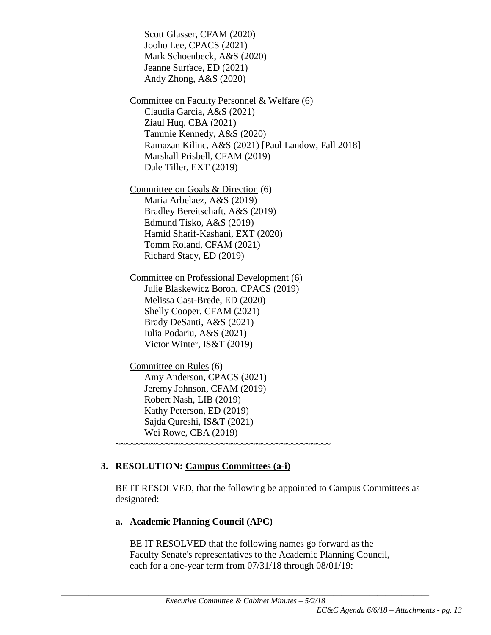Scott Glasser, CFAM (2020) Jooho Lee, CPACS (2021) Mark Schoenbeck, A&S (2020) Jeanne Surface, ED (2021) Andy Zhong, A&S (2020) Committee on Faculty Personnel & Welfare (6) Claudia Garcia, A&S (2021) Ziaul Huq, CBA (2021) Tammie Kennedy, A&S (2020) Ramazan Kilinc, A&S (2021) [Paul Landow, Fall 2018] Marshall Prisbell, CFAM (2019) Dale Tiller, EXT (2019) Committee on Goals & Direction (6) Maria Arbelaez, A&S (2019) Bradley Bereitschaft, A&S (2019) Edmund Tisko, A&S (2019) Hamid Sharif-Kashani, EXT (2020) Tomm Roland, CFAM (2021) Richard Stacy, ED (2019) Committee on Professional Development (6) Julie Blaskewicz Boron, CPACS (2019) Melissa Cast-Brede, ED (2020) Shelly Cooper, CFAM (2021) Brady DeSanti, A&S (2021) Iulia Podariu, A&S (2021) Victor Winter, IS&T (2019) Committee on Rules (6) Amy Anderson, CPACS (2021)

Jeremy Johnson, CFAM (2019) Robert Nash, LIB (2019) Kathy Peterson, ED (2019) Sajda Qureshi, IS&T (2021)

**~~~~~~~~~~~~~~~~~~~~~~~~~~~~~~~~~~~~~~~~~~~**

Wei Rowe, CBA (2019)

# **3. RESOLUTION: Campus Committees (a-i)**

BE IT RESOLVED, that the following be appointed to Campus Committees as designated:

# **a. Academic Planning Council (APC)**

BE IT RESOLVED that the following names go forward as the Faculty Senate's representatives to the Academic Planning Council, each for a one-year term from 07/31/18 through 08/01/19: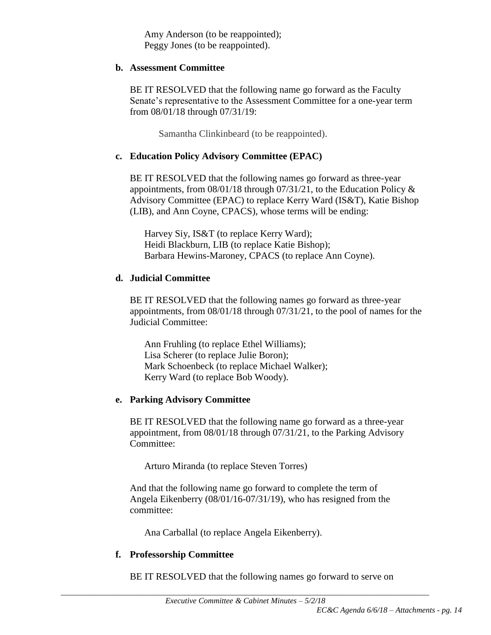Amy Anderson (to be reappointed); Peggy Jones (to be reappointed).

## **b. Assessment Committee**

BE IT RESOLVED that the following name go forward as the Faculty Senate's representative to the Assessment Committee for a one-year term from 08/01/18 through 07/31/19:

Samantha Clinkinbeard (to be reappointed).

# **c. Education Policy Advisory Committee (EPAC)**

BE IT RESOLVED that the following names go forward as three-year appointments, from 08/01/18 through 07/31/21, to the Education Policy & Advisory Committee (EPAC) to replace Kerry Ward (IS&T), Katie Bishop (LIB), and Ann Coyne, CPACS), whose terms will be ending:

Harvey Siy, IS&T (to replace Kerry Ward); Heidi Blackburn, LIB (to replace Katie Bishop); Barbara Hewins-Maroney, CPACS (to replace Ann Coyne).

# **d. Judicial Committee**

BE IT RESOLVED that the following names go forward as three-year appointments, from 08/01/18 through 07/31/21, to the pool of names for the Judicial Committee:

Ann Fruhling (to replace Ethel Williams); Lisa Scherer (to replace Julie Boron); Mark Schoenbeck (to replace Michael Walker); Kerry Ward (to replace Bob Woody).

# **e. Parking Advisory Committee**

BE IT RESOLVED that the following name go forward as a three-year appointment, from 08/01/18 through 07/31/21, to the Parking Advisory Committee:

Arturo Miranda (to replace Steven Torres)

And that the following name go forward to complete the term of Angela Eikenberry (08/01/16-07/31/19), who has resigned from the committee:

Ana Carballal (to replace Angela Eikenberry).

# **f. Professorship Committee**

BE IT RESOLVED that the following names go forward to serve on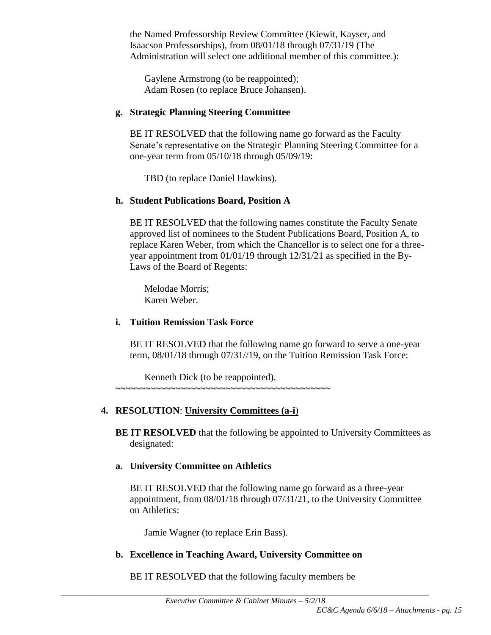the Named Professorship Review Committee (Kiewit, Kayser, and Isaacson Professorships), from 08/01/18 through 07/31/19 (The Administration will select one additional member of this committee.):

Gaylene Armstrong (to be reappointed); Adam Rosen (to replace Bruce Johansen).

# **g. Strategic Planning Steering Committee**

BE IT RESOLVED that the following name go forward as the Faculty Senate's representative on the Strategic Planning Steering Committee for a one-year term from 05/10/18 through 05/09/19:

TBD (to replace Daniel Hawkins).

# **h. Student Publications Board, Position A**

BE IT RESOLVED that the following names constitute the Faculty Senate approved list of nominees to the Student Publications Board, Position A, to replace Karen Weber, from which the Chancellor is to select one for a threeyear appointment from 01/01/19 through 12/31/21 as specified in the By-Laws of the Board of Regents:

Melodae Morris; Karen Weber.

# **i. Tuition Remission Task Force**

BE IT RESOLVED that the following name go forward to serve a one-year term, 08/01/18 through 07/31//19, on the Tuition Remission Task Force:

Kenneth Dick (to be reappointed).

**~~~~~~~~~~~~~~~~~~~~~~~~~~~~~~~~~~~~~~~~~~~**

# **4. RESOLUTION**: **University Committees (a-i**)

**BE IT RESOLVED** that the following be appointed to University Committees as designated:

# **a. University Committee on Athletics**

BE IT RESOLVED that the following name go forward as a three-year appointment, from 08/01/18 through 07/31/21, to the University Committee on Athletics:

Jamie Wagner (to replace Erin Bass).

# **b. Excellence in Teaching Award, University Committee on**

BE IT RESOLVED that the following faculty members be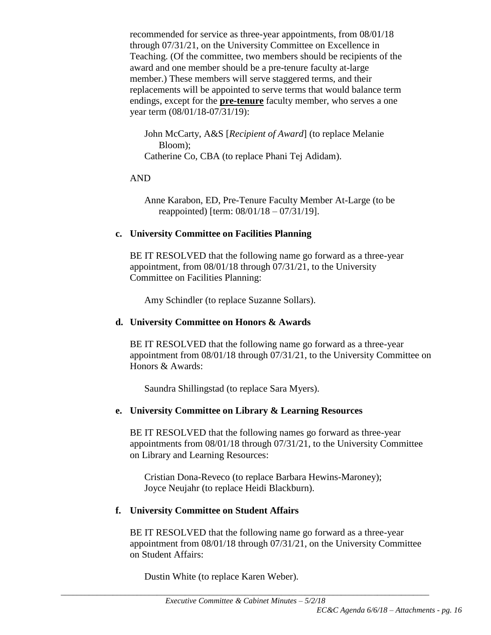recommended for service as three-year appointments, from 08/01/18 through 07/31/21, on the University Committee on Excellence in Teaching. (Of the committee, two members should be recipients of the award and one member should be a pre-tenure faculty at-large member.) These members will serve staggered terms, and their replacements will be appointed to serve terms that would balance term endings, except for the **pre-tenure** faculty member, who serves a one year term (08/01/18-07/31/19):

John McCarty, A&S [*Recipient of Award*] (to replace Melanie Bloom); Catherine Co, CBA (to replace Phani Tej Adidam).

#### AND

Anne Karabon, ED, Pre-Tenure Faculty Member At-Large (to be reappointed) [term: 08/01/18 – 07/31/19].

## **c. University Committee on Facilities Planning**

BE IT RESOLVED that the following name go forward as a three-year appointment, from 08/01/18 through 07/31/21, to the University Committee on Facilities Planning:

Amy Schindler (to replace Suzanne Sollars).

## **d. University Committee on Honors & Awards**

BE IT RESOLVED that the following name go forward as a three-year appointment from 08/01/18 through 07/31/21, to the University Committee on Honors & Awards:

Saundra Shillingstad (to replace Sara Myers).

## **e. University Committee on Library & Learning Resources**

BE IT RESOLVED that the following names go forward as three-year appointments from 08/01/18 through 07/31/21, to the University Committee on Library and Learning Resources:

Cristian Dona-Reveco (to replace Barbara Hewins-Maroney); Joyce Neujahr (to replace Heidi Blackburn).

## **f. University Committee on Student Affairs**

BE IT RESOLVED that the following name go forward as a three-year appointment from 08/01/18 through 07/31/21, on the University Committee on Student Affairs:

Dustin White (to replace Karen Weber).

\_\_\_\_\_\_\_\_\_\_\_\_\_\_\_\_\_\_\_\_\_\_\_\_\_\_\_\_\_\_\_\_\_\_\_\_\_\_\_\_\_\_\_\_\_\_\_\_\_\_\_\_\_\_\_\_\_\_\_\_\_\_\_\_\_\_\_\_\_\_\_\_\_\_\_\_\_\_\_\_\_\_\_\_\_\_\_\_\_\_\_\_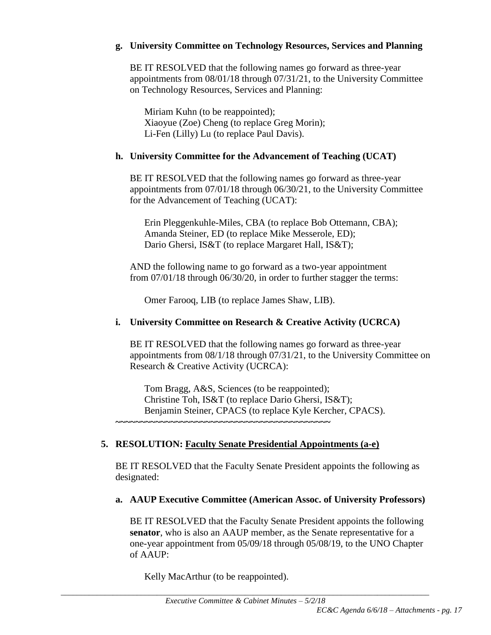#### **g. University Committee on Technology Resources, Services and Planning**

BE IT RESOLVED that the following names go forward as three-year appointments from 08/01/18 through 07/31/21, to the University Committee on Technology Resources, Services and Planning:

Miriam Kuhn (to be reappointed); Xiaoyue (Zoe) Cheng (to replace Greg Morin); Li-Fen (Lilly) Lu (to replace Paul Davis).

#### **h. University Committee for the Advancement of Teaching (UCAT)**

BE IT RESOLVED that the following names go forward as three-year appointments from 07/01/18 through 06/30/21, to the University Committee for the Advancement of Teaching (UCAT):

Erin Pleggenkuhle-Miles, CBA (to replace Bob Ottemann, CBA); Amanda Steiner, ED (to replace Mike Messerole, ED); Dario Ghersi, IS&T (to replace Margaret Hall, IS&T);

AND the following name to go forward as a two-year appointment from 07/01/18 through 06/30/20, in order to further stagger the terms:

Omer Farooq, LIB (to replace James Shaw, LIB).

#### **i. University Committee on Research & Creative Activity (UCRCA)**

BE IT RESOLVED that the following names go forward as three-year appointments from 08/1/18 through 07/31/21, to the University Committee on Research & Creative Activity (UCRCA):

Tom Bragg, A&S, Sciences (to be reappointed); Christine Toh, IS&T (to replace Dario Ghersi, IS&T); Benjamin Steiner, CPACS (to replace Kyle Kercher, CPACS). **~~~~~~~~~~~~~~~~~~~~~~~~~~~~~~~~~~~~~~~~~~~**

## **5. RESOLUTION: Faculty Senate Presidential Appointments (a-e)**

BE IT RESOLVED that the Faculty Senate President appoints the following as designated:

## **a. AAUP Executive Committee (American Assoc. of University Professors)**

BE IT RESOLVED that the Faculty Senate President appoints the following **senator**, who is also an AAUP member, as the Senate representative for a one-year appointment from 05/09/18 through 05/08/19, to the UNO Chapter of AAUP:

Kelly MacArthur (to be reappointed).

\_\_\_\_\_\_\_\_\_\_\_\_\_\_\_\_\_\_\_\_\_\_\_\_\_\_\_\_\_\_\_\_\_\_\_\_\_\_\_\_\_\_\_\_\_\_\_\_\_\_\_\_\_\_\_\_\_\_\_\_\_\_\_\_\_\_\_\_\_\_\_\_\_\_\_\_\_\_\_\_\_\_\_\_\_\_\_\_\_\_\_\_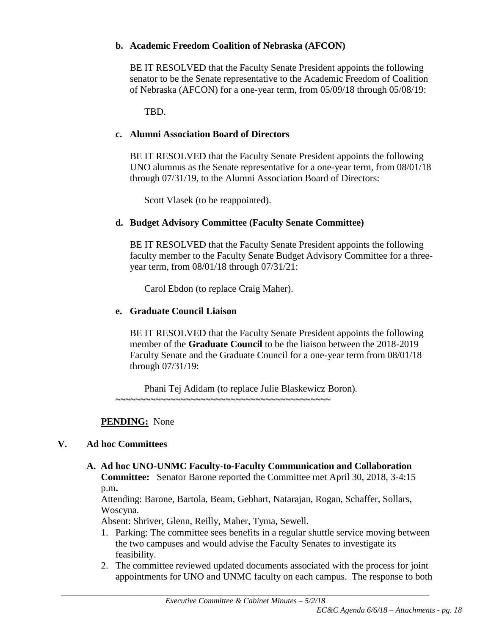# **b. Academic Freedom Coalition of Nebraska (AFCON)**

BE IT RESOLVED that the Faculty Senate President appoints the following senator to be the Senate representative to the Academic Freedom of Coalition of Nebraska (AFCON) for a one-year term, from 05/09/18 through 05/08/19:

TBD.

# **c. Alumni Association Board of Directors**

BE IT RESOLVED that the Faculty Senate President appoints the following UNO alumnus as the Senate representative for a one-year term, from 08/01/18 through 07/31/19, to the Alumni Association Board of Directors:

Scott Vlasek (to be reappointed).

# **d. Budget Advisory Committee (Faculty Senate Committee)**

BE IT RESOLVED that the Faculty Senate President appoints the following faculty member to the Faculty Senate Budget Advisory Committee for a threeyear term, from 08/01/18 through 07/31/21:

Carol Ebdon (to replace Craig Maher).

# **e. Graduate Council Liaison**

BE IT RESOLVED that the Faculty Senate President appoints the following member of the **Graduate Council** to be the liaison between the 2018-2019 Faculty Senate and the Graduate Council for a one-year term from 08/01/18 through 07/31/19:

Phani Tej Adidam (to replace Julie Blaskewicz Boron)*.*  **~~~~~~~~~~~~~~~~~~~~~~~~~~~~~~~~~~~~~~~~~~~**

## **PENDING:** None

## **V. Ad hoc Committees**

**A. Ad hoc UNO-UNMC Faculty-to-Faculty Communication and Collaboration Committee:** Senator Barone reported the Committee met April 30, 2018, 3-4:15 p.m**.**

Attending: Barone, Bartola, Beam, Gebhart, Natarajan, Rogan, Schaffer, Sollars, Woscyna.

Absent: Shriver, Glenn, Reilly, Maher, Tyma, Sewell.

- 1. Parking: The committee sees benefits in a regular shuttle service moving between the two campuses and would advise the Faculty Senates to investigate its feasibility.
- 2. The committee reviewed updated documents associated with the process for joint appointments for UNO and UNMC faculty on each campus. The response to both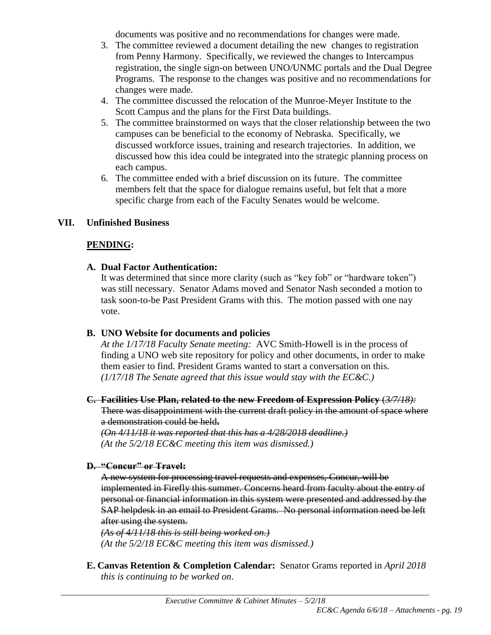documents was positive and no recommendations for changes were made.

- 3. The committee reviewed a document detailing the new changes to registration from Penny Harmony. Specifically, we reviewed the changes to Intercampus registration, the single sign-on between UNO/UNMC portals and the Dual Degree Programs. The response to the changes was positive and no recommendations for changes were made.
- 4. The committee discussed the relocation of the Munroe-Meyer Institute to the Scott Campus and the plans for the First Data buildings.
- 5. The committee brainstormed on ways that the closer relationship between the two campuses can be beneficial to the economy of Nebraska. Specifically, we discussed workforce issues, training and research trajectories. In addition, we discussed how this idea could be integrated into the strategic planning process on each campus.
- 6. The committee ended with a brief discussion on its future. The committee members felt that the space for dialogue remains useful, but felt that a more specific charge from each of the Faculty Senates would be welcome.

# **VII. Unfinished Business**

# **PENDING:**

## **A. Dual Factor Authentication:**

It was determined that since more clarity (such as "key fob" or "hardware token") was still necessary.Senator Adams moved and Senator Nash seconded a motion to task soon-to-be Past President Grams with this. The motion passed with one nay vote.

## **B. UNO Website for documents and policies**

*At the 1/17/18 Faculty Senate meeting:* AVC Smith-Howell is in the process of finding a UNO web site repository for policy and other documents, in order to make them easier to find. President Grams wanted to start a conversation on this. *(1/17/18 The Senate agreed that this issue would stay with the EC&C.)*

## **C. Facilities Use Plan, related to the new Freedom of Expression Policy** (*3/7/18):*

There was disappointment with the current draft policy in the amount of space where a demonstration could be held**.** 

*(On 4/11/18 it was reported that this has a 4/28/2018 deadline.) (At the 5/2/18 EC&C meeting this item was dismissed.)*

## **D. "Concur" or Travel:**

A new system for processing travel requests and expenses, Concur, will be implemented in Firefly this summer. Concerns heard from faculty about the entry of personal or financial information in this system were presented and addressed by the SAP helpdesk in an email to President Grams. No personal information need be left after using the system.

*(As of 4/11/18 this is still being worked on.) (At the 5/2/18 EC&C meeting this item was dismissed.)*

**E. Canvas Retention & Completion Calendar:** Senator Grams reported in *April 2018 this is continuing to be worked on*.